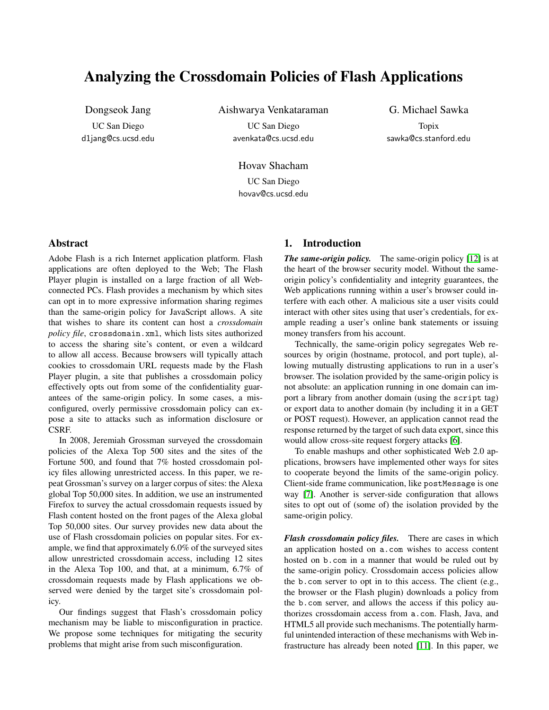# Analyzing the Crossdomain Policies of Flash Applications

Dongseok Jang UC San Diego d1jang@cs.ucsd.edu Aishwarya Venkataraman

UC San Diego avenkata@cs.ucsd.edu

G. Michael Sawka Topix sawka@cs.stanford.edu

Hovav Shacham UC San Diego hovav@cs.ucsd.edu

## **Abstract**

Adobe Flash is a rich Internet application platform. Flash applications are often deployed to the Web; The Flash Player plugin is installed on a large fraction of all Webconnected PCs. Flash provides a mechanism by which sites can opt in to more expressive information sharing regimes than the same-origin policy for JavaScript allows. A site that wishes to share its content can host a *crossdomain policy file*, crossdomain.xml, which lists sites authorized to access the sharing site's content, or even a wildcard to allow all access. Because browsers will typically attach cookies to crossdomain URL requests made by the Flash Player plugin, a site that publishes a crossdomain policy effectively opts out from some of the confidentiality guarantees of the same-origin policy. In some cases, a misconfigured, overly permissive crossdomain policy can expose a site to attacks such as information disclosure or CSRF.

In 2008, Jeremiah Grossman surveyed the crossdomain policies of the Alexa Top 500 sites and the sites of the Fortune 500, and found that 7% hosted crossdomain policy files allowing unrestricted access. In this paper, we repeat Grossman's survey on a larger corpus of sites: the Alexa global Top 50,000 sites. In addition, we use an instrumented Firefox to survey the actual crossdomain requests issued by Flash content hosted on the front pages of the Alexa global Top 50,000 sites. Our survey provides new data about the use of Flash crossdomain policies on popular sites. For example, we find that approximately 6.0% of the surveyed sites allow unrestricted crossdomain access, including 12 sites in the Alexa Top 100, and that, at a minimum, 6.7% of crossdomain requests made by Flash applications we observed were denied by the target site's crossdomain policy.

Our findings suggest that Flash's crossdomain policy mechanism may be liable to misconfiguration in practice. We propose some techniques for mitigating the security problems that might arise from such misconfiguration.

# 1. Introduction

*The same-origin policy.* The same-origin policy [\[12\]](#page-12-0) is at the heart of the browser security model. Without the sameorigin policy's confidentiality and integrity guarantees, the Web applications running within a user's browser could interfere with each other. A malicious site a user visits could interact with other sites using that user's credentials, for example reading a user's online bank statements or issuing money transfers from his account.

Technically, the same-origin policy segregates Web resources by origin (hostname, protocol, and port tuple), allowing mutually distrusting applications to run in a user's browser. The isolation provided by the same-origin policy is not absolute: an application running in one domain can import a library from another domain (using the script tag) or export data to another domain (by including it in a GET or POST request). However, an application cannot read the response returned by the target of such data export, since this would allow cross-site request forgery attacks [\[6\]](#page-12-1).

To enable mashups and other sophisticated Web 2.0 applications, browsers have implemented other ways for sites to cooperate beyond the limits of the same-origin policy. Client-side frame communication, like postMessage is one way [\[7\]](#page-12-2). Another is server-side configuration that allows sites to opt out of (some of) the isolation provided by the same-origin policy.

*Flash crossdomain policy files.* There are cases in which an application hosted on a.com wishes to access content hosted on b.com in a manner that would be ruled out by the same-origin policy. Crossdomain access policies allow the b.com server to opt in to this access. The client (e.g., the browser or the Flash plugin) downloads a policy from the b.com server, and allows the access if this policy authorizes crossdomain access from a.com. Flash, Java, and HTML5 all provide such mechanisms. The potentially harmful unintended interaction of these mechanisms with Web infrastructure has already been noted [\[11\]](#page-12-3). In this paper, we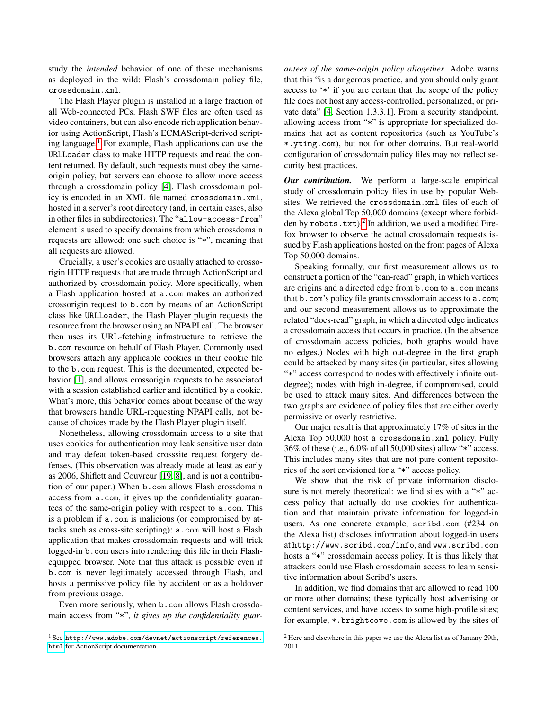study the *intended* behavior of one of these mechanisms as deployed in the wild: Flash's crossdomain policy file, crossdomain.xml.

The Flash Player plugin is installed in a large fraction of all Web-connected PCs. Flash SWF files are often used as video containers, but can also encode rich application behavior using ActionScript, Flash's ECMAScript-derived script-ing language.<sup>[1](#page-1-0)</sup> For example, Flash applications can use the URLLoader class to make HTTP requests and read the content returned. By default, such requests must obey the sameorigin policy, but servers can choose to allow more access through a crossdomain policy [\[4\]](#page-12-4). Flash crossdomain policy is encoded in an XML file named crossdomain.xml, hosted in a server's root directory (and, in certain cases, also in other files in subdirectories). The "allow-access-from" element is used to specify domains from which crossdomain requests are allowed; one such choice is "\*", meaning that all requests are allowed.

Crucially, a user's cookies are usually attached to crossorigin HTTP requests that are made through ActionScript and authorized by crossdomain policy. More specifically, when a Flash application hosted at a.com makes an authorized crossorigin request to b.com by means of an ActionScript class like URLLoader, the Flash Player plugin requests the resource from the browser using an NPAPI call. The browser then uses its URL-fetching infrastructure to retrieve the b.com resource on behalf of Flash Player. Commonly used browsers attach any applicable cookies in their cookie file to the b.com request. This is the documented, expected behavior [\[1\]](#page-12-5), and allows crossorigin requests to be associated with a session established earlier and identified by a cookie. What's more, this behavior comes about because of the way that browsers handle URL-requesting NPAPI calls, not because of choices made by the Flash Player plugin itself.

Nonetheless, allowing crossdomain access to a site that uses cookies for authentication may leak sensitive user data and may defeat token-based crosssite request forgery defenses. (This observation was already made at least as early as 2006, Shiflett and Couvreur [\[19,](#page-12-6) [8\]](#page-12-7), and is not a contribution of our paper.) When b.com allows Flash crossdomain access from a.com, it gives up the confidentiality guarantees of the same-origin policy with respect to a.com. This is a problem if a.com is malicious (or compromised by attacks such as cross-site scripting): a.com will host a Flash application that makes crossdomain requests and will trick logged-in b.com users into rendering this file in their Flashequipped browser. Note that this attack is possible even if b.com is never legitimately accessed through Flash, and hosts a permissive policy file by accident or as a holdover from previous usage.

Even more seriously, when b.com allows Flash crossdomain access from "\*", *it gives up the confidentiality guar-* *antees of the same-origin policy altogether*. Adobe warns that this "is a dangerous practice, and you should only grant access to '\*' if you are certain that the scope of the policy file does not host any access-controlled, personalized, or private data" [\[4,](#page-12-4) Section 1.3.3.1]. From a security standpoint, allowing access from "\*" is appropriate for specialized domains that act as content repositories (such as YouTube's \*.ytimg.com), but not for other domains. But real-world configuration of crossdomain policy files may not reflect security best practices.

*Our contribution.* We perform a large-scale empirical study of crossdomain policy files in use by popular Websites. We retrieved the crossdomain.xml files of each of the Alexa global Top 50,000 domains (except where forbidden by  $\texttt{robots.txt}$ . In addition, we used a modified Firefox browser to observe the actual crossdomain requests issued by Flash applications hosted on the front pages of Alexa Top 50,000 domains.

Speaking formally, our first measurement allows us to construct a portion of the "can-read" graph, in which vertices are origins and a directed edge from b.com to a.com means that b.com's policy file grants crossdomain access to a.com; and our second measurement allows us to approximate the related "does-read" graph, in which a directed edge indicates a crossdomain access that occurs in practice. (In the absence of crossdomain access policies, both graphs would have no edges.) Nodes with high out-degree in the first graph could be attacked by many sites (in particular, sites allowing "\*" access correspond to nodes with effectively infinite outdegree); nodes with high in-degree, if compromised, could be used to attack many sites. And differences between the two graphs are evidence of policy files that are either overly permissive or overly restrictive.

Our major result is that approximately 17% of sites in the Alexa Top 50,000 host a crossdomain.xml policy. Fully 36% of these (i.e., 6.0% of all 50,000 sites) allow "\*" access. This includes many sites that are not pure content repositories of the sort envisioned for a "\*" access policy.

We show that the risk of private information disclosure is not merely theoretical: we find sites with a "\*" access policy that actually do use cookies for authentication and that maintain private information for logged-in users. As one concrete example, scribd.com (#234 on the Alexa list) discloses information about logged-in users at http://www.scribd.com/info, and www.scribd.com hosts a "\*" crossdomain access policy. It is thus likely that attackers could use Flash crossdomain access to learn sensitive information about Scribd's users.

In addition, we find domains that are allowed to read 100 or more other domains; these typically host advertising or content services, and have access to some high-profile sites; for example, \*.brightcove.com is allowed by the sites of

<span id="page-1-0"></span><sup>1</sup> See [http://www.adobe.com/devnet/actionscript/references.](http://www.adobe.com/devnet/actionscript/references.html) [html](http://www.adobe.com/devnet/actionscript/references.html) for ActionScript documentation.

<span id="page-1-1"></span><sup>&</sup>lt;sup>2</sup> Here and elsewhere in this paper we use the Alexa list as of January 29th, 2011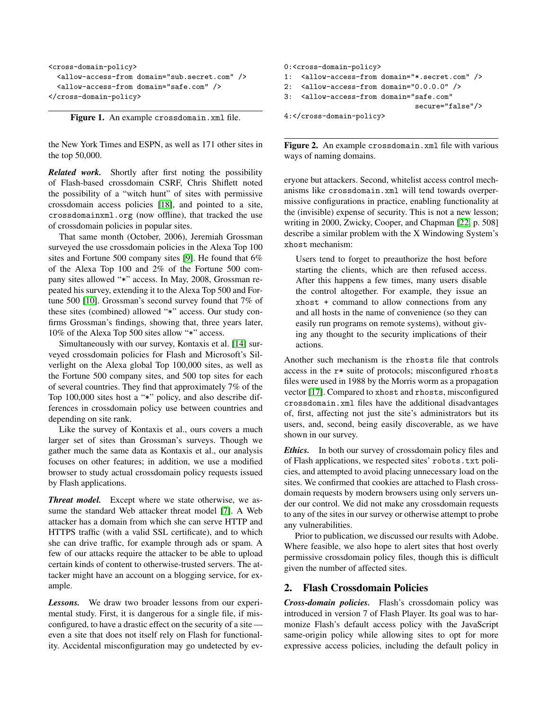```
<cross-domain-policy>
 <allow-access-from domain="sub.secret.com" />
 <allow-access-from domain="safe.com" />
</cross-domain-policy>
```
<span id="page-2-0"></span>Figure 1. An example crossdomain.xml file.

the New York Times and ESPN, as well as 171 other sites in the top 50,000.

*Related work.* Shortly after first noting the possibility of Flash-based crossdomain CSRF, Chris Shiflett noted the possibility of a "witch hunt" of sites with permissive crossdomain access policies [\[18\]](#page-12-8), and pointed to a site, crossdomainxml.org (now offline), that tracked the use of crossdomain policies in popular sites.

That same month (October, 2006), Jeremiah Grossman surveyed the use crossdomain policies in the Alexa Top 100 sites and Fortune 500 company sites [\[9\]](#page-12-9). He found that 6% of the Alexa Top 100 and 2% of the Fortune 500 company sites allowed "\*" access. In May, 2008, Grossman repeated his survey, extending it to the Alexa Top 500 and Fortune 500 [\[10\]](#page-12-10). Grossman's second survey found that 7% of these sites (combined) allowed "\*" access. Our study confirms Grossman's findings, showing that, three years later, 10% of the Alexa Top 500 sites allow "\*" access.

Simultaneously with our survey, Kontaxis et al. [\[14\]](#page-12-11) surveyed crossdomain policies for Flash and Microsoft's Silverlight on the Alexa global Top 100,000 sites, as well as the Fortune 500 company sites, and 500 top sites for each of several countries. They find that approximately 7% of the Top 100,000 sites host a "\*" policy, and also describe differences in crossdomain policy use between countries and depending on site rank.

Like the survey of Kontaxis et al., ours covers a much larger set of sites than Grossman's surveys. Though we gather much the same data as Kontaxis et al., our analysis focuses on other features; in addition, we use a modified browser to study actual crossdomain policy requests issued by Flash applications.

*Threat model.* Except where we state otherwise, we assume the standard Web attacker threat model [\[7\]](#page-12-2). A Web attacker has a domain from which she can serve HTTP and HTTPS traffic (with a valid SSL certificate), and to which she can drive traffic, for example through ads or spam. A few of our attacks require the attacker to be able to upload certain kinds of content to otherwise-trusted servers. The attacker might have an account on a blogging service, for example.

*Lessons.* We draw two broader lessons from our experimental study. First, it is dangerous for a single file, if misconfigured, to have a drastic effect on the security of a site even a site that does not itself rely on Flash for functionality. Accidental misconfiguration may go undetected by ev-

```
0:<cross-domain-policy>
1: <allow-access-from domain="*.secret.com" />
2: <allow-access-from domain="0.0.0.0" />
3: <allow-access-from domain="safe.com"
                               secure="false"/>
4:</cross-domain-policy>
```
<span id="page-2-1"></span>Figure 2. An example crossdomain.xml file with various ways of naming domains.

eryone but attackers. Second, whitelist access control mechanisms like crossdomain.xml will tend towards overpermissive configurations in practice, enabling functionality at the (invisible) expense of security. This is not a new lesson; writing in 2000, Zwicky, Cooper, and Chapman [\[22,](#page-12-12) p. 508] describe a similar problem with the X Windowing System's xhost mechanism:

Users tend to forget to preauthorize the host before starting the clients, which are then refused access. After this happens a few times, many users disable the control altogether. For example, they issue an xhost + command to allow connections from any and all hosts in the name of convenience (so they can easily run programs on remote systems), without giving any thought to the security implications of their actions.

Another such mechanism is the rhosts file that controls access in the r\* suite of protocols; misconfigured rhosts files were used in 1988 by the Morris worm as a propagation vector [\[17\]](#page-12-13). Compared to xhost and rhosts, misconfigured crossdomain.xml files have the additional disadvantages of, first, affecting not just the site's administrators but its users, and, second, being easily discoverable, as we have shown in our survey.

*Ethics.* In both our survey of crossdomain policy files and of Flash applications, we respected sites' robots.txt policies, and attempted to avoid placing unnecessary load on the sites. We confirmed that cookies are attached to Flash crossdomain requests by modern browsers using only servers under our control. We did not make any crossdomain requests to any of the sites in our survey or otherwise attempt to probe any vulnerabilities.

Prior to publication, we discussed our results with Adobe. Where feasible, we also hope to alert sites that host overly permissive crossdomain policy files, though this is difficult given the number of affected sites.

### <span id="page-2-2"></span>2. Flash Crossdomain Policies

*Cross-domain policies.* Flash's crossdomain policy was introduced in version 7 of Flash Player. Its goal was to harmonize Flash's default access policy with the JavaScript same-origin policy while allowing sites to opt for more expressive access policies, including the default policy in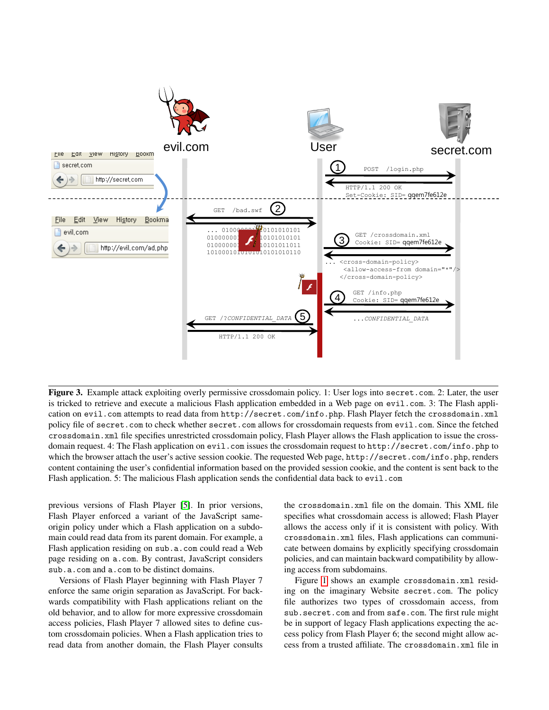

<span id="page-3-0"></span>Figure 3. Example attack exploiting overly permissive crossdomain policy. 1: User logs into secret.com. 2: Later, the user is tricked to retrieve and execute a malicious Flash application embedded in a Web page on evil.com. 3: The Flash application on evil.com attempts to read data from http://secret.com/info.php. Flash Player fetch the crossdomain.xml policy file of secret.com to check whether secret.com allows for crossdomain requests from evil.com. Since the fetched crossdomain.xml file specifies unrestricted crossdomain policy, Flash Player allows the Flash application to issue the crossdomain request. 4: The Flash application on evil.com issues the crossdomain request to http://secret.com/info.php to which the browser attach the user's active session cookie. The requested Web page, http://secret.com/info.php, renders content containing the user's confidential information based on the provided session cookie, and the content is sent back to the Flash application. 5: The malicious Flash application sends the confidential data back to evil.com

previous versions of Flash Player [\[5\]](#page-12-14). In prior versions, Flash Player enforced a variant of the JavaScript sameorigin policy under which a Flash application on a subdomain could read data from its parent domain. For example, a Flash application residing on sub.a.com could read a Web page residing on a.com. By contrast, JavaScript considers sub.a.com and a.com to be distinct domains.

Versions of Flash Player beginning with Flash Player 7 enforce the same origin separation as JavaScript. For backwards compatibility with Flash applications reliant on the old behavior, and to allow for more expressive crossdomain access policies, Flash Player 7 allowed sites to define custom crossdomain policies. When a Flash application tries to read data from another domain, the Flash Player consults the crossdomain.xml file on the domain. This XML file specifies what crossdomain access is allowed; Flash Player allows the access only if it is consistent with policy. With crossdomain.xml files, Flash applications can communicate between domains by explicitly specifying crossdomain policies, and can maintain backward compatibility by allowing access from subdomains.

Figure [1](#page-2-0) shows an example crossdomain.xml residing on the imaginary Website secret.com. The policy file authorizes two types of crossdomain access, from sub.secret.com and from safe.com. The first rule might be in support of legacy Flash applications expecting the access policy from Flash Player 6; the second might allow access from a trusted affiliate. The crossdomain.xml file in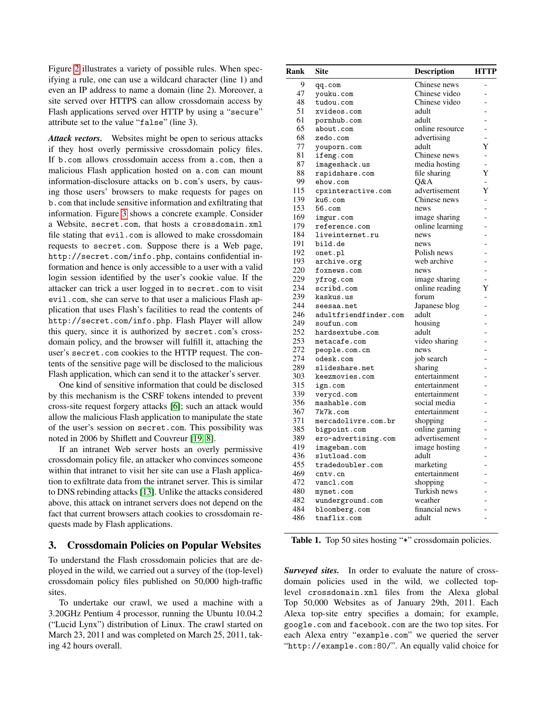Figure [2](#page-2-1) illustrates a variety of possible rules. When specifying a rule, one can use a wildcard character (line 1) and even an IP address to name a domain (line 2). Moreover, a site served over HTTPS can allow crossdomain access by Flash applications served over HTTP by using a "secure" attribute set to the value "false" (line 3).

*Attack vectors.* Websites might be open to serious attacks if they host overly permissive crossdomain policy files. If b.com allows crossdomain access from a.com, then a malicious Flash application hosted on a.com can mount information-disclosure attacks on b.com's users, by causing those users' browsers to make requests for pages on b.com that include sensitive information and exfiltrating that information. Figure [3](#page-3-0) shows a concrete example. Consider a Website, secret.com, that hosts a crossdomain.xml file stating that evil.com is allowed to make crossdomain requests to secret.com. Suppose there is a Web page, http://secret.com/info.php, contains confidential information and hence is only accessible to a user with a valid login session identified by the user's cookie value. If the attacker can trick a user logged in to secret.com to visit evil.com, she can serve to that user a malicious Flash application that uses Flash's facilities to read the contents of http://secret.com/info.php. Flash Player will allow this query, since it is authorized by secret.com's crossdomain policy, and the browser will fulfill it, attaching the user's secret.com cookies to the HTTP request. The contents of the sensitive page will be disclosed to the malicious Flash application, which can send it to the attacker's server.

One kind of sensitive information that could be disclosed by this mechanism is the CSRF tokens intended to prevent cross-site request forgery attacks [\[6\]](#page-12-1); such an attack would allow the malicious Flash application to manipulate the state of the user's session on secret.com. This possibility was noted in 2006 by Shiflett and Couvreur [\[19,](#page-12-6) [8\]](#page-12-7).

If an intranet Web server hosts an overly permissive crossdomain policy file, an attacker who convinces someone within that intranet to visit her site can use a Flash application to exfiltrate data from the intranet server. This is similar to DNS rebinding attacks [\[13\]](#page-12-15). Unlike the attacks considered above, this attack on intranet servers does not depend on the fact that current browsers attach cookies to crossdomain requests made by Flash applications.

#### <span id="page-4-1"></span>3. Crossdomain Policies on Popular Websites

To understand the Flash crossdomain policies that are deployed in the wild, we carried out a survey of the (top-level) crossdomain policy files published on 50,000 high-traffic sites.

To undertake our crawl, we used a machine with a 3.20GHz Pentium 4 processor, running the Ubuntu 10.04.2 ("Lucid Lynx") distribution of Linux. The crawl started on March 23, 2011 and was completed on March 25, 2011, taking 42 hours overall.

| Rank | <b>Site</b>           | Description     | <b>HTTP</b>              |
|------|-----------------------|-----------------|--------------------------|
| 9    | qq.com                | Chinese news    |                          |
| 47   | youku.com             | Chinese video   | $\overline{a}$           |
| 48   | tudou.com             | Chinese video   |                          |
| 51   | xvideos.com           | adult           |                          |
| 61   | pornhub.com           | adult           |                          |
| 65   | about.com             | online resource |                          |
| 68   | zedo.com              | advertising     |                          |
| 77   | youporn.com           | adult           | Y                        |
| 81   | ifeng.com             | Chinese news    | $\overline{a}$           |
| 87   | imageshack.us         | media hosting   | $\overline{\phantom{0}}$ |
| 88   | rapidshare.com        | file sharing    | Y                        |
| 99   | ehow.com              | O&A             | $\overline{\phantom{0}}$ |
| 115  | cpxinteractive.com    | advertisement   | Y                        |
| 139  | ku6.com               | Chinese news    | $\overline{a}$           |
| 153  | $56.$ com             | news            |                          |
| 169  | imgur.com             | image sharing   |                          |
| 179  | reference.com         | online learning |                          |
| 184  | liveinternet.ru       | news            |                          |
| 191  | bild.de               | news            |                          |
| 192  | onet.pl               | Polish news     |                          |
| 193  | archive.org           | web archive     | -                        |
| 220  | foxnews.com           | news            | $\overline{a}$           |
| 229  | yfrog.com             | image sharing   |                          |
| 234  | scribd.com            | online reading  | Y                        |
| 239  | kaskus.us             | forum           |                          |
| 244  | seesaa.net            | Japanese blog   |                          |
| 246  | adultfriendfinder.com | adult           |                          |
| 249  | soufun.com            | housing         |                          |
| 252  | hardsextube.com       | adult           |                          |
| 253  | metacafe.com          | video sharing   | $\overline{a}$           |
| 272  | people.com.cn         | news            | $\overline{a}$           |
| 274  | odesk.com             | job search      |                          |
| 289  | slideshare.net        | sharing         |                          |
| 303  | keezmovies.com        | entertainment   |                          |
| 315  | ign.com               | entertainment   |                          |
| 339  | verycd.com            | entertainment   |                          |
| 356  | mashable.com          | social media    |                          |
| 367  | 7k7k.com              | entertainment   |                          |
| 371  | mercadolivre.com.br   | shopping        |                          |
| 385  | bigpoint.com          | online gaming   | $\overline{a}$           |
| 389  | ero-advertising.com   | advertisement   | $\overline{a}$           |
| 419  | imagebam.com          | image hosting   |                          |
| 436  | slutload.com          | adult           |                          |
| 455  | tradedoubler.com      | marketing       |                          |
| 469  | cntv.cn               | entertainment   |                          |
| 472  | vancl.com             | shopping        |                          |
| 480  | mynet.com             | Turkish news    |                          |
| 482  | wunderground.com      | weather         |                          |
| 484  | bloomberg.com         | financial news  | $\overline{a}$           |
| 486  | tnaflix.com           | adult           |                          |
|      |                       |                 |                          |

<span id="page-4-0"></span>Table 1. Top 50 sites hosting "\*" crossdomain policies.

*Surveyed sites.* In order to evaluate the nature of crossdomain policies used in the wild, we collected toplevel crossdomain.xml files from the Alexa global Top 50,000 Websites as of January 29th, 2011. Each Alexa top-site entry specifies a domain; for example, google.com and facebook.com are the two top sites. For each Alexa entry "example.com" we queried the server "http://example.com:80/". An equally valid choice for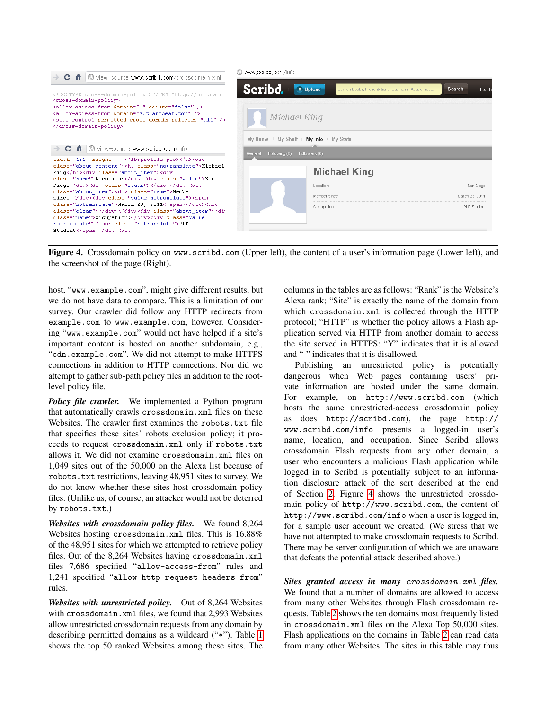

<span id="page-5-0"></span>Figure 4. Crossdomain policy on www.scribd.com (Upper left), the content of a user's information page (Lower left), and the screenshot of the page (Right).

host, "www.example.com", might give different results, but we do not have data to compare. This is a limitation of our survey. Our crawler did follow any HTTP redirects from example.com to www.example.com, however. Considering "www.example.com" would not have helped if a site's important content is hosted on another subdomain, e.g., "cdn.example.com". We did not attempt to make HTTPS connections in addition to HTTP connections. Nor did we attempt to gather sub-path policy files in addition to the rootlevel policy file.

*Policy file crawler.* We implemented a Python program that automatically crawls crossdomain.xml files on these Websites. The crawler first examines the robots.txt file that specifies these sites' robots exclusion policy; it proceeds to request crossdomain.xml only if robots.txt allows it. We did not examine crossdomain.xml files on 1,049 sites out of the 50,000 on the Alexa list because of robots.txt restrictions, leaving 48,951 sites to survey. We do not know whether these sites host crossdomain policy files. (Unlike us, of course, an attacker would not be deterred by robots.txt.)

*Websites with crossdomain policy files.* We found 8,264 Websites hosting crossdomain.xml files. This is 16.88% of the 48,951 sites for which we attempted to retrieve policy files. Out of the 8,264 Websites having crossdomain.xml files 7,686 specified "allow-access-from" rules and 1,241 specified "allow-http-request-headers-from" rules.

*Websites with unrestricted policy.* Out of 8,264 Websites with crossdomain.xml files, we found that 2,993 Websites allow unrestricted crossdomain requests from any domain by describing permitted domains as a wildcard ("\*"). Table [1](#page-4-0) shows the top 50 ranked Websites among these sites. The columns in the tables are as follows: "Rank" is the Website's Alexa rank; "Site" is exactly the name of the domain from which crossdomain.xml is collected through the HTTP protocol; "HTTP" is whether the policy allows a Flash application served via HTTP from another domain to access the site served in HTTPS: "Y" indicates that it is allowed and "-" indicates that it is disallowed.

Publishing an unrestricted policy is potentially dangerous when Web pages containing users' private information are hosted under the same domain. For example, on http://www.scribd.com (which hosts the same unrestricted-access crossdomain policy as does http://scribd.com), the page http:// www.scribd.com/info presents a logged-in user's name, location, and occupation. Since Scribd allows crossdomain Flash requests from any other domain, a user who encounters a malicious Flash application while logged in to Scribd is potentially subject to an information disclosure attack of the sort described at the end of Section [2.](#page-2-2) Figure [4](#page-5-0) shows the unrestricted crossdomain policy of http://www.scribd.com, the content of http://www.scribd.com/info when a user is logged in, for a sample user account we created. (We stress that we have not attempted to make crossdomain requests to Scribd. There may be server configuration of which we are unaware that defeats the potential attack described above.)

*Sites granted access in many* crossdomain.xml *files.* We found that a number of domains are allowed to access from many other Websites through Flash crossdomain requests. Table [2](#page-6-0) shows the ten domains most frequently listed in crossdomain.xml files on the Alexa Top 50,000 sites. Flash applications on the domains in Table [2](#page-6-0) can read data from many other Websites. The sites in this table may thus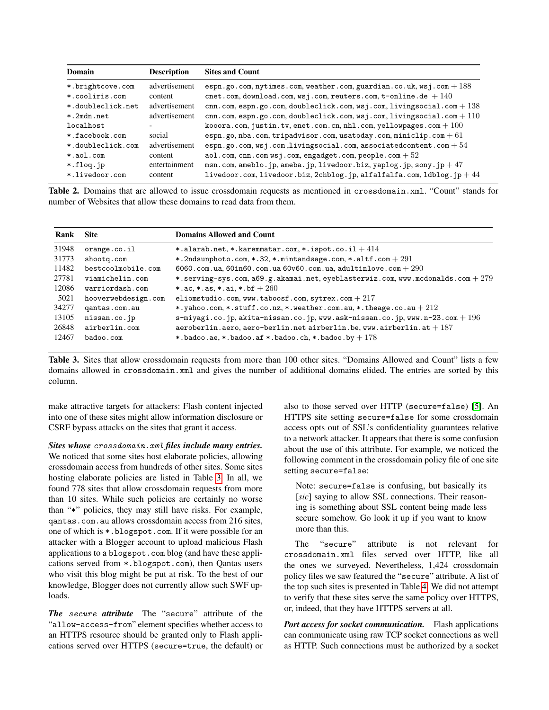| Domain            | <b>Description</b> | <b>Sites and Count</b>                                                   |
|-------------------|--------------------|--------------------------------------------------------------------------|
| *.brightcove.com  | advertisement      | espn.go.com, nytimes.com, weather.com, guardian.co.uk, wsj.com $+188$    |
| *.cooliris.com    | content            | cnet.com, download.com, wsj.com, reuters.com, t-online.de $+140$         |
| *.doubleclick.net | advertisement      | cnn.com, espn.go.com, doubleclick.com, wsj.com, livingsocial.com + 138   |
| *.2mdn.net        | advertisement      | cnn.com, espn.go.com, doubleclick.com, wsj.com, livingsocial.com + 110   |
| localhost         |                    | kooora.com, justin.tv, enet.com.cn, nhl.com, yellowpages.com $+100$      |
| * facebook.com    | social             | espn.go, nba.com, tripadvisor.com, usatoday.com, miniclip.com + 61       |
| *.doubleclick.com | advertisement      | espn.go.com, $wsj.com$ , livingsocial.com, associated content.com + $54$ |
| *.aol.com         | content            | $a$ ol.com, cnn.com wsj.com, engadget.com, people.com + 52               |
| *.floq.jp         | entertainment      | msn.com, ameblo.jp, ameba.jp, livedoor.biz, yaplog.jp, sony.jp + 47      |
| *.livedoor.com    | content            | livedoor.com, livedoor.biz, 2chblog.jp, alfalfalfa.com, 1dblog.jp + $44$ |

<span id="page-6-0"></span>Table 2. Domains that are allowed to issue crossdomain requests as mentioned in crossdomain.xml. "Count" stands for number of Websites that allow these domains to read data from them.

| Rank  | <b>Site</b>         | <b>Domains Allowed and Count</b>                                                  |
|-------|---------------------|-----------------------------------------------------------------------------------|
| 31948 | orange.co.il        | *.alarab.net, *.karemmatar.com, *.ispot.co.il $+414$                              |
| 31773 | shootg.com          | *.2ndsunphoto.com, *.32, *.mintandsage.com, *.altf.com $+ 291$                    |
| 11482 | bestcoolmobile.com  | 6060.com.ua, 60in60.com.ua 60v60.com.ua, adultinlove.com $+290$                   |
| 27781 | viamichelin.com     | *.serving-sys.com, a69.g.akamai.net, eyeblasterwiz.com, www.mcdonalds.com + $279$ |
| 12086 | warriordash.com     | *.ac. *.as. *.ai. *.bf $+260$                                                     |
| 5021  | hooverwebdesign.com | eliomstudio.com, www.taboosf.com, sytrex.com $+217$                               |
| 34277 | qantas.com.au       | *.yahoo.com, *.stuff.co.nz, *.weather.com.au, *.theage.co.au + 212                |
| 13105 | nissan.co.jp        | s-miyagi.co.jp, akita-nissan.co.jp, www.ask-nissan.co.jp, www.n-23.com $+$ 196    |
| 26848 | airberlin.com       | aeroberlin.aero, aero-berlin.net airberlin.be, www.airberlin.at $+187$            |
| 12467 | badoo.com           | *.badoo.ae, *.badoo.af *.badoo.ch, *.badoo.by $+178$                              |

<span id="page-6-1"></span>Table 3. Sites that allow crossdomain requests from more than 100 other sites. "Domains Allowed and Count" lists a few domains allowed in crossdomain.xml and gives the number of additional domains elided. The entries are sorted by this column.

make attractive targets for attackers: Flash content injected into one of these sites might allow information disclosure or CSRF bypass attacks on the sites that grant it access.

*Sites whose* crossdomain.xml *files include many entries.* We noticed that some sites host elaborate policies, allowing crossdomain access from hundreds of other sites. Some sites hosting elaborate policies are listed in Table [3.](#page-6-1) In all, we found 778 sites that allow crossdomain requests from more than 10 sites. While such policies are certainly no worse than "\*" policies, they may still have risks. For example, qantas.com.au allows crossdomain access from 216 sites, one of which is \*.blogspot.com. If it were possible for an attacker with a Blogger account to upload malicious Flash applications to a blogspot.com blog (and have these applications served from \*.blogspot.com), then Qantas users who visit this blog might be put at risk. To the best of our knowledge, Blogger does not currently allow such SWF uploads.

*The* secure *attribute* The "secure" attribute of the "allow-access-from" element specifies whether access to an HTTPS resource should be granted only to Flash applications served over HTTPS (secure=true, the default) or

also to those served over HTTP (secure=false) [\[5\]](#page-12-14). An HTTPS site setting secure=false for some crossdomain access opts out of SSL's confidentiality guarantees relative to a network attacker. It appears that there is some confusion about the use of this attribute. For example, we noticed the following comment in the crossdomain policy file of one site setting secure=false:

Note: secure=false is confusing, but basically its [sic] saying to allow SSL connections. Their reasoning is something about SSL content being made less secure somehow. Go look it up if you want to know more than this.

The "secure" attribute is not relevant for crossdomain.xml files served over HTTP, like all the ones we surveyed. Nevertheless, 1,424 crossdomain policy files we saw featured the "secure" attribute. A list of the top such sites is presented in Table [4.](#page-7-0) We did not attempt to verify that these sites serve the same policy over HTTPS, or, indeed, that they have HTTPS servers at all.

*Port access for socket communication.* Flash applications can communicate using raw TCP socket connections as well as HTTP. Such connections must be authorized by a socket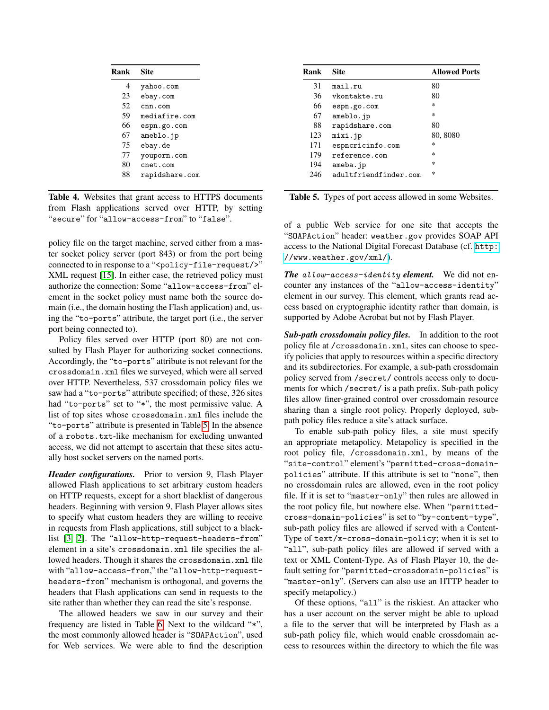| Rank | <b>Site</b>    |
|------|----------------|
| 4    | yahoo.com      |
| 23   | ebay.com       |
| 52   | cnn.com        |
| 59   | mediafire.com  |
| 66   | espn.go.com    |
| 67   | ameblo.jp      |
| 75   | ebay.de        |
| 77   | youporn.com    |
| 80   | cnet.com       |
| 88   | rapidshare.com |

<span id="page-7-0"></span>Table 4. Websites that grant access to HTTPS documents from Flash applications served over HTTP, by setting "secure" for "allow-access-from" to "false".

policy file on the target machine, served either from a master socket policy server (port 843) or from the port being connected to in response to a "<policy-file-request/>" XML request [\[15\]](#page-12-16). In either case, the retrieved policy must authorize the connection: Some "allow-access-from" element in the socket policy must name both the source domain (i.e., the domain hosting the Flash application) and, using the "to-ports" attribute, the target port (i.e., the server port being connected to).

Policy files served over HTTP (port 80) are not consulted by Flash Player for authorizing socket connections. Accordingly, the "to-ports" attribute is not relevant for the crossdomain.xml files we surveyed, which were all served over HTTP. Nevertheless, 537 crossdomain policy files we saw had a "to-ports" attribute specified; of these, 326 sites had "to-ports" set to "\*", the most permissive value. A list of top sites whose crossdomain.xml files include the "to-ports" attribute is presented in Table [5.](#page-7-1) In the absence of a robots.txt-like mechanism for excluding unwanted access, we did not attempt to ascertain that these sites actually host socket servers on the named ports.

*Header configurations.* Prior to version 9, Flash Player allowed Flash applications to set arbitrary custom headers on HTTP requests, except for a short blacklist of dangerous headers. Beginning with version 9, Flash Player allows sites to specify what custom headers they are willing to receive in requests from Flash applications, still subject to a blacklist [\[3,](#page-12-17) [2\]](#page-12-18). The "allow-http-request-headers-from" element in a site's crossdomain.xml file specifies the allowed headers. Though it shares the crossdomain.xml file with "allow-access-from," the "allow-http-requestheaders-from" mechanism is orthogonal, and governs the headers that Flash applications can send in requests to the site rather than whether they can read the site's response.

The allowed headers we saw in our survey and their frequency are listed in Table [6.](#page-8-0) Next to the wildcard "\*", the most commonly allowed header is "SOAPAction", used for Web services. We were able to find the description

| Rank | <b>Site</b>           | <b>Allowed Ports</b> |
|------|-----------------------|----------------------|
| 31   | mail.ru               | 80                   |
| 36   | vkontakte.ru          | 80                   |
| 66   | espn.go.com           | *                    |
| 67   | ameblo.jp             | *                    |
| 88   | rapidshare.com        | 80                   |
| 123  | mixi.jp               | 80, 8080             |
| 171  | espncricinfo.com      | $\ast$               |
| 179  | reference.com         | $\ast$               |
| 194  | ameba.jp              | $\ast$               |
| 246  | adultfriendfinder.com | $\ast$               |

<span id="page-7-1"></span>Table 5. Types of port access allowed in some Websites.

of a public Web service for one site that accepts the "SOAPAction" header: weather.gov provides SOAP API access to the National Digital Forecast Database (cf. [http:](http://www.weather.gov/xml/) [//www.weather.gov/xml/](http://www.weather.gov/xml/)).

*The* allow-access-identity *element.* We did not encounter any instances of the "allow-access-identity" element in our survey. This element, which grants read access based on cryptographic identity rather than domain, is supported by Adobe Acrobat but not by Flash Player.

*Sub-path crossdomain policy files.* In addition to the root policy file at /crossdomain.xml, sites can choose to specify policies that apply to resources within a specific directory and its subdirectories. For example, a sub-path crossdomain policy served from /secret/ controls access only to documents for which /secret/ is a path prefix. Sub-path policy files allow finer-grained control over crossdomain resource sharing than a single root policy. Properly deployed, subpath policy files reduce a site's attack surface.

To enable sub-path policy files, a site must specify an appropriate metapolicy. Metapolicy is specified in the root policy file, /crossdomain.xml, by means of the "site-control" element's "permitted-cross-domainpolicies" attribute. If this attribute is set to "none", then no crossdomain rules are allowed, even in the root policy file. If it is set to "master-only" then rules are allowed in the root policy file, but nowhere else. When "permittedcross-domain-policies" is set to "by-content-type", sub-path policy files are allowed if served with a Content-Type of text/x-cross-domain-policy; when it is set to "all", sub-path policy files are allowed if served with a text or XML Content-Type. As of Flash Player 10, the default setting for "permitted-crossdomain-policies" is "master-only". (Servers can also use an HTTP header to specify metapolicy.)

Of these options, "all" is the riskiest. An attacker who has a user account on the server might be able to upload a file to the server that will be interpreted by Flash as a sub-path policy file, which would enable crossdomain access to resources within the directory to which the file was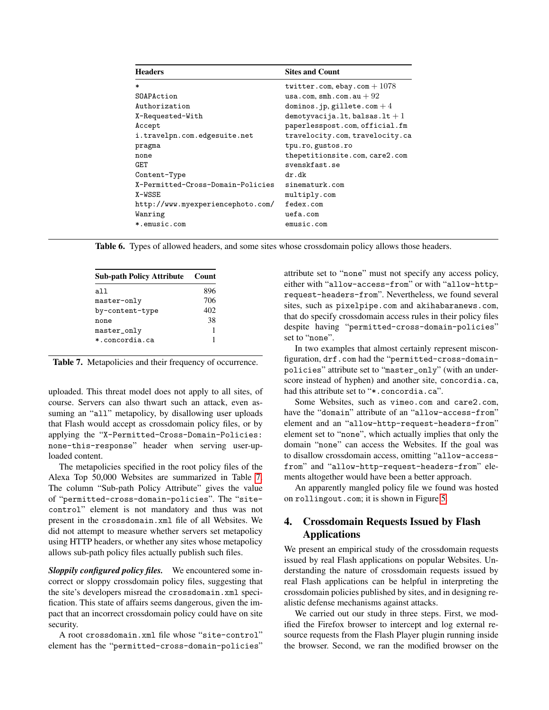| <b>Headers</b>                    | <b>Sites and Count</b>          |
|-----------------------------------|---------------------------------|
| $\ast$                            | twitter.com, ebay.com $+1078$   |
| SOAPAction                        | usa.com, $smh.com.au+92$        |
| Authorization                     | dominos.jp, gillete.com $+4$    |
| X-Requested-With                  | demotyvacija.lt, balsas.lt $+1$ |
| Accept                            | paperlesspost.com, official.fm  |
| i.travelpn.com.edgesuite.net      | travelocity.com, travelocity.ca |
| pragma                            | tpu.ro, gustos.ro               |
| none                              | thepetitionsite.com, care2.com  |
| GET                               | svenskfast.se                   |
| Content-Type                      | dr.dk                           |
| X-Permitted-Cross-Domain-Policies | sinematurk.com                  |
| X-WSSE                            | multiply.com                    |
| http://www.myexperiencephoto.com/ | fedex.com                       |
| Wanring                           | $u$ efa.com                     |
| *.emusic.com                      | emusic.com                      |

<span id="page-8-0"></span>Table 6. Types of allowed headers, and some sites whose crossdomain policy allows those headers.

| <b>Sub-path Policy Attribute</b> | Count |
|----------------------------------|-------|
| all                              | 896   |
| master-only                      | 706   |
| by-content-type                  | 402   |
| none                             | 38    |
| master_only                      |       |
| *.concordia.ca                   | 1     |
|                                  |       |

<span id="page-8-1"></span>Table 7. Metapolicies and their frequency of occurrence.

uploaded. This threat model does not apply to all sites, of course. Servers can also thwart such an attack, even assuming an "all" metapolicy, by disallowing user uploads that Flash would accept as crossdomain policy files, or by applying the "X-Permitted-Cross-Domain-Policies: none-this-response" header when serving user-uploaded content.

The metapolicies specified in the root policy files of the Alexa Top 50,000 Websites are summarized in Table [7.](#page-8-1) The column "Sub-path Policy Attribute" gives the value of "permitted-cross-domain-policies". The "sitecontrol" element is not mandatory and thus was not present in the crossdomain.xml file of all Websites. We did not attempt to measure whether servers set metapolicy using HTTP headers, or whether any sites whose metapolicy allows sub-path policy files actually publish such files.

*Sloppily configured policy files.* We encountered some incorrect or sloppy crossdomain policy files, suggesting that the site's developers misread the crossdomain.xml specification. This state of affairs seems dangerous, given the impact that an incorrect crossdomain policy could have on site security.

A root crossdomain.xml file whose "site-control" element has the "permitted-cross-domain-policies"

attribute set to "none" must not specify any access policy, either with "allow-access-from" or with "allow-httprequest-headers-from". Nevertheless, we found several sites, such as pixelpipe.com and akihabaranews.com, that do specify crossdomain access rules in their policy files despite having "permitted-cross-domain-policies" set to "none".

In two examples that almost certainly represent misconfiguration, drf.com had the "permitted-cross-domainpolicies" attribute set to "master\_only" (with an underscore instead of hyphen) and another site, concordia.ca, had this attribute set to "\*.concordia.ca".

Some Websites, such as vimeo.com and care2.com, have the "domain" attribute of an "allow-access-from" element and an "allow-http-request-headers-from" element set to "none", which actually implies that only the domain "none" can access the Websites. If the goal was to disallow crossdomain access, omitting "allow-accessfrom" and "allow-http-request-headers-from" elements altogether would have been a better approach.

An apparently mangled policy file we found was hosted on rollingout.com; it is shown in Figure [5.](#page-9-0)

# <span id="page-8-2"></span>4. Crossdomain Requests Issued by Flash Applications

We present an empirical study of the crossdomain requests issued by real Flash applications on popular Websites. Understanding the nature of crossdomain requests issued by real Flash applications can be helpful in interpreting the crossdomain policies published by sites, and in designing realistic defense mechanisms against attacks.

We carried out our study in three steps. First, we modified the Firefox browser to intercept and log external resource requests from the Flash Player plugin running inside the browser. Second, we ran the modified browser on the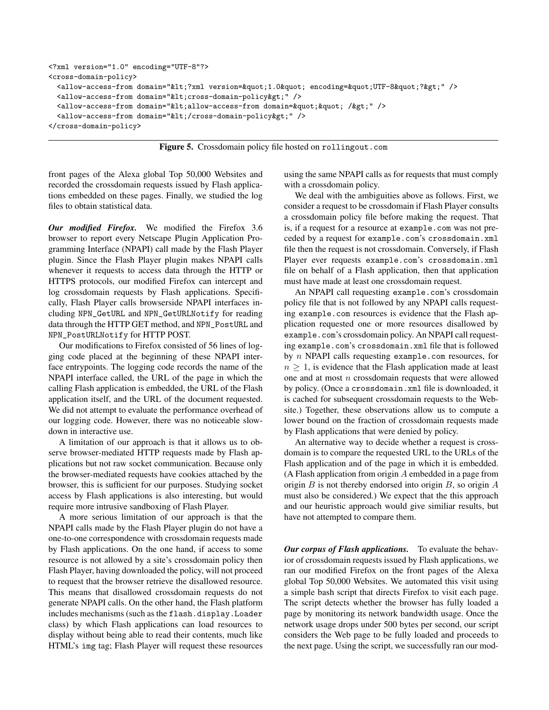```
<?xml version="1.0" encoding="UTF-8"?>
<cross-domain-policy>
  <allow-access-from domain="&lt;?xml version=&quot;1.0&quot; encoding=&quot;UTF-8&quot;?&gt;" />
  <allow-access-from domain="&lt; cross-domain-policy&gt;" />
  <allow-access-from domain="&lt;allow-access-from domain=&quot; &quot; /&gt;" />
  <allow-access-from domain="&lt;/cross-domain-policy&gt;" />
</cross-domain-policy>
```
<span id="page-9-0"></span>Figure 5. Crossdomain policy file hosted on rollingout.com

front pages of the Alexa global Top 50,000 Websites and recorded the crossdomain requests issued by Flash applications embedded on these pages. Finally, we studied the log files to obtain statistical data.

*Our modified Firefox.* We modified the Firefox 3.6 browser to report every Netscape Plugin Application Programming Interface (NPAPI) call made by the Flash Player plugin. Since the Flash Player plugin makes NPAPI calls whenever it requests to access data through the HTTP or HTTPS protocols, our modified Firefox can intercept and log crossdomain requests by Flash applications. Specifically, Flash Player calls browserside NPAPI interfaces including NPN\_GetURL and NPN\_GetURLNotify for reading data through the HTTP GET method, and NPN\_PostURL and NPN\_PostURLNotify for HTTP POST.

Our modifications to Firefox consisted of 56 lines of logging code placed at the beginning of these NPAPI interface entrypoints. The logging code records the name of the NPAPI interface called, the URL of the page in which the calling Flash application is embedded, the URL of the Flash application itself, and the URL of the document requested. We did not attempt to evaluate the performance overhead of our logging code. However, there was no noticeable slowdown in interactive use.

A limitation of our approach is that it allows us to observe browser-mediated HTTP requests made by Flash applications but not raw socket communication. Because only the browser-mediated requests have cookies attached by the browser, this is sufficient for our purposes. Studying socket access by Flash applications is also interesting, but would require more intrusive sandboxing of Flash Player.

A more serious limitation of our approach is that the NPAPI calls made by the Flash Player plugin do not have a one-to-one correspondence with crossdomain requests made by Flash applications. On the one hand, if access to some resource is not allowed by a site's crossdomain policy then Flash Player, having downloaded the policy, will not proceed to request that the browser retrieve the disallowed resource. This means that disallowed crossdomain requests do not generate NPAPI calls. On the other hand, the Flash platform includes mechanisms (such as the flash.display.Loader class) by which Flash applications can load resources to display without being able to read their contents, much like HTML's img tag; Flash Player will request these resources

using the same NPAPI calls as for requests that must comply with a crossdomain policy.

We deal with the ambiguities above as follows. First, we consider a request to be crossdomain if Flash Player consults a crossdomain policy file before making the request. That is, if a request for a resource at example.com was not preceded by a request for example.com's crossdomain.xml file then the request is not crossdomain. Conversely, if Flash Player ever requests example.com's crossdomain.xml file on behalf of a Flash application, then that application must have made at least one crossdomain request.

An NPAPI call requesting example.com's crossdomain policy file that is not followed by any NPAPI calls requesting example.com resources is evidence that the Flash application requested one or more resources disallowed by example.com's crossdomain policy. An NPAPI call requesting example.com's crossdomain.xml file that is followed by n NPAPI calls requesting example.com resources, for  $n \geq 1$ , is evidence that the Flash application made at least one and at most n crossdomain requests that were allowed by policy. (Once a crossdomain.xml file is downloaded, it is cached for subsequent crossdomain requests to the Website.) Together, these observations allow us to compute a lower bound on the fraction of crossdomain requests made by Flash applications that were denied by policy.

An alternative way to decide whether a request is crossdomain is to compare the requested URL to the URLs of the Flash application and of the page in which it is embedded. (A Flash application from origin A embedded in a page from origin  $B$  is not thereby endorsed into origin  $B$ , so origin  $A$ must also be considered.) We expect that the this approach and our heuristic approach would give similiar results, but have not attempted to compare them.

*Our corpus of Flash applications.* To evaluate the behavior of crossdomain requests issued by Flash applications, we ran our modified Firefox on the front pages of the Alexa global Top 50,000 Websites. We automated this visit using a simple bash script that directs Firefox to visit each page. The script detects whether the browser has fully loaded a page by monitoring its network bandwidth usage. Once the network usage drops under 500 bytes per second, our script considers the Web page to be fully loaded and proceeds to the next page. Using the script, we successfully ran our mod-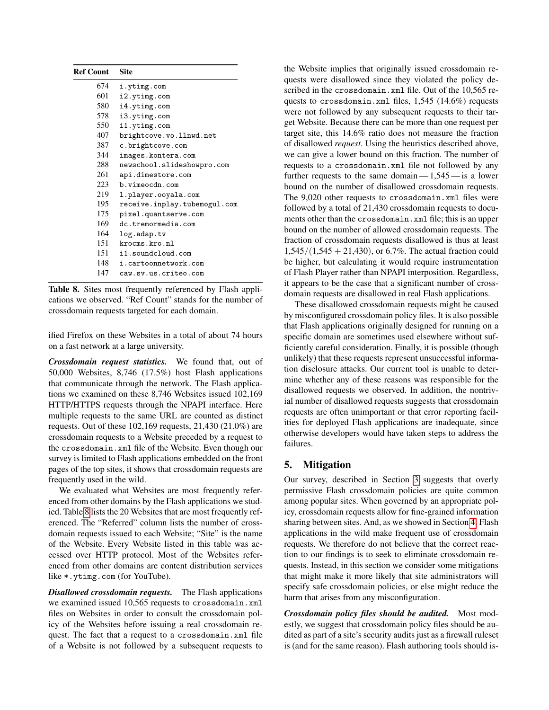| <b>Ref Count</b> | <b>Site</b>                  |
|------------------|------------------------------|
| 674              | i.ytimg.com                  |
| 601              | i2.ytimg.com                 |
| 580              | i4.ytimg.com                 |
| 578              | i3.ytimg.com                 |
| 550              | i1.ytimg.com                 |
| 407              | brightcove.vo.llnwd.net      |
| 387              | c.brightcove.com             |
| 344              | images.kontera.com           |
| 288              | newschool.slideshowpro.com   |
| 261              | api.dimestore.com            |
| 223              | b.vimeocdn.com               |
| 219              | l.player.ooyala.com          |
| 195              | receive.inplay.tubemogul.com |
| 175              | pixel.quantserve.com         |
| 169              | dc.tremormedia.com           |
| 164              | log.adap.tv                  |
| 151              | krocms.kro.nl                |
| 151              | i1.soundcloud.com            |
| 148              | i.cartoonnetwork.com         |
| 147              | caw.sv.us.criteo.com         |
|                  |                              |

<span id="page-10-0"></span>Table 8. Sites most frequently referenced by Flash applications we observed. "Ref Count" stands for the number of crossdomain requests targeted for each domain.

ified Firefox on these Websites in a total of about 74 hours on a fast network at a large university.

*Crossdomain request statistics.* We found that, out of 50,000 Websites, 8,746 (17.5%) host Flash applications that communicate through the network. The Flash applications we examined on these 8,746 Websites issued 102,169 HTTP/HTTPS requests through the NPAPI interface. Here multiple requests to the same URL are counted as distinct requests. Out of these 102,169 requests, 21,430 (21.0%) are crossdomain requests to a Website preceded by a request to the crossdomain.xml file of the Website. Even though our survey is limited to Flash applications embedded on the front pages of the top sites, it shows that crossdomain requests are frequently used in the wild.

We evaluated what Websites are most frequently referenced from other domains by the Flash applications we studied. Table [8](#page-10-0) lists the 20 Websites that are most frequently referenced. The "Referred" column lists the number of crossdomain requests issued to each Website; "Site" is the name of the Website. Every Website listed in this table was accessed over HTTP protocol. Most of the Websites referenced from other domains are content distribution services like \*.ytimg.com (for YouTube).

*Disallowed crossdomain requests.* The Flash applications we examined issued 10,565 requests to crossdomain.xml files on Websites in order to consult the crossdomain policy of the Websites before issuing a real crossdomain request. The fact that a request to a crossdomain.xml file of a Website is not followed by a subsequent requests to the Website implies that originally issued crossdomain requests were disallowed since they violated the policy described in the crossdomain.xml file. Out of the 10,565 requests to crossdomain.xml files, 1,545 (14.6%) requests were not followed by any subsequent requests to their target Website. Because there can be more than one request per target site, this 14.6% ratio does not measure the fraction of disallowed *request*. Using the heuristics described above, we can give a lower bound on this fraction. The number of requests to a crossdomain.xml file not followed by any further requests to the same domain  $-1,545$  - is a lower bound on the number of disallowed crossdomain requests. The 9,020 other requests to crossdomain.xml files were followed by a total of 21,430 crossdomain requests to documents other than the crossdomain.xml file; this is an upper bound on the number of allowed crossdomain requests. The fraction of crossdomain requests disallowed is thus at least  $1,545/(1,545 + 21,430)$ , or 6.7%. The actual fraction could be higher, but calculating it would require instrumentation of Flash Player rather than NPAPI interposition. Regardless, it appears to be the case that a significant number of crossdomain requests are disallowed in real Flash applications.

These disallowed crossdomain requests might be caused by misconfigured crossdomain policy files. It is also possible that Flash applications originally designed for running on a specific domain are sometimes used elsewhere without sufficiently careful consideration. Finally, it is possible (though unlikely) that these requests represent unsuccessful information disclosure attacks. Our current tool is unable to determine whether any of these reasons was responsible for the disallowed requests we observed. In addition, the nontrivial number of disallowed requests suggests that crossdomain requests are often unimportant or that error reporting facilities for deployed Flash applications are inadequate, since otherwise developers would have taken steps to address the failures.

# 5. Mitigation

Our survey, described in Section [3](#page-4-1) suggests that overly permissive Flash crossdomain policies are quite common among popular sites. When governed by an appropriate policy, crossdomain requests allow for fine-grained information sharing between sites. And, as we showed in Section [4,](#page-8-2) Flash applications in the wild make frequent use of crossdomain requests. We therefore do not believe that the correct reaction to our findings is to seek to eliminate crossdomain requests. Instead, in this section we consider some mitigations that might make it more likely that site administrators will specify safe crossdomain policies, or else might reduce the harm that arises from any misconfiguration.

*Crossdomain policy files should be audited.* Most modestly, we suggest that crossdomain policy files should be audited as part of a site's security audits just as a firewall ruleset is (and for the same reason). Flash authoring tools should is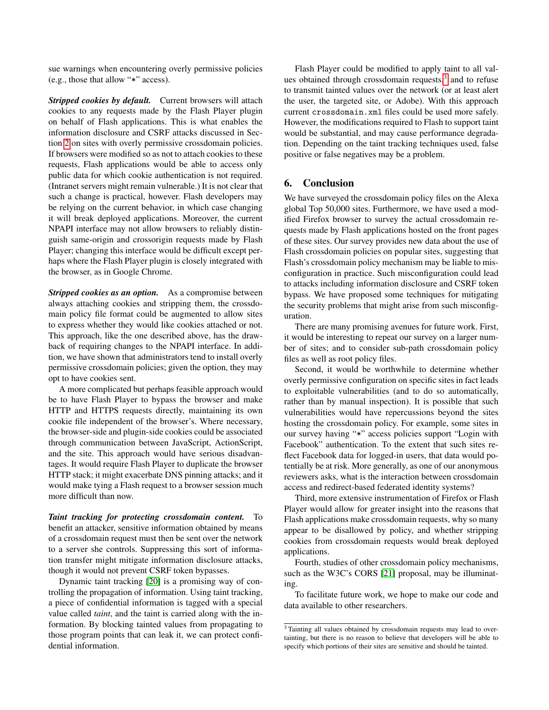sue warnings when encountering overly permissive policies (e.g., those that allow "\*" access).

*Stripped cookies by default.* Current browsers will attach cookies to any requests made by the Flash Player plugin on behalf of Flash applications. This is what enables the information disclosure and CSRF attacks discussed in Section [2](#page-2-2) on sites with overly permissive crossdomain policies. If browsers were modified so as not to attach cookies to these requests, Flash applications would be able to access only public data for which cookie authentication is not required. (Intranet servers might remain vulnerable.) It is not clear that such a change is practical, however. Flash developers may be relying on the current behavior, in which case changing it will break deployed applications. Moreover, the current NPAPI interface may not allow browsers to reliably distinguish same-origin and crossorigin requests made by Flash Player; changing this interface would be difficult except perhaps where the Flash Player plugin is closely integrated with the browser, as in Google Chrome.

*Stripped cookies as an option.* As a compromise between always attaching cookies and stripping them, the crossdomain policy file format could be augmented to allow sites to express whether they would like cookies attached or not. This approach, like the one described above, has the drawback of requiring changes to the NPAPI interface. In addition, we have shown that administrators tend to install overly permissive crossdomain policies; given the option, they may opt to have cookies sent.

A more complicated but perhaps feasible approach would be to have Flash Player to bypass the browser and make HTTP and HTTPS requests directly, maintaining its own cookie file independent of the browser's. Where necessary, the browser-side and plugin-side cookies could be associated through communication between JavaScript, ActionScript, and the site. This approach would have serious disadvantages. It would require Flash Player to duplicate the browser HTTP stack; it might exacerbate DNS pinning attacks; and it would make tying a Flash request to a browser session much more difficult than now.

*Taint tracking for protecting crossdomain content.* To benefit an attacker, sensitive information obtained by means of a crossdomain request must then be sent over the network to a server she controls. Suppressing this sort of information transfer might mitigate information disclosure attacks, though it would not prevent CSRF token bypasses.

Dynamic taint tracking [\[20\]](#page-12-19) is a promising way of controlling the propagation of information. Using taint tracking, a piece of confidential information is tagged with a special value called *taint*, and the taint is carried along with the information. By blocking tainted values from propagating to those program points that can leak it, we can protect confidential information.

Flash Player could be modified to apply taint to all values obtained through crossdomain requests, $3$  and to refuse to transmit tainted values over the network (or at least alert the user, the targeted site, or Adobe). With this approach current crossdomain.xml files could be used more safely. However, the modifications required to Flash to support taint would be substantial, and may cause performance degradation. Depending on the taint tracking techniques used, false positive or false negatives may be a problem.

# 6. Conclusion

We have surveyed the crossdomain policy files on the Alexa global Top 50,000 sites. Furthermore, we have used a modified Firefox browser to survey the actual crossdomain requests made by Flash applications hosted on the front pages of these sites. Our survey provides new data about the use of Flash crossdomain policies on popular sites, suggesting that Flash's crossdomain policy mechanism may be liable to misconfiguration in practice. Such misconfiguration could lead to attacks including information disclosure and CSRF token bypass. We have proposed some techniques for mitigating the security problems that might arise from such misconfiguration.

There are many promising avenues for future work. First, it would be interesting to repeat our survey on a larger number of sites; and to consider sub-path crossdomain policy files as well as root policy files.

Second, it would be worthwhile to determine whether overly permissive configuration on specific sites in fact leads to exploitable vulnerabilities (and to do so automatically, rather than by manual inspection). It is possible that such vulnerabilities would have repercussions beyond the sites hosting the crossdomain policy. For example, some sites in our survey having "\*" access policies support "Login with Facebook" authentication. To the extent that such sites reflect Facebook data for logged-in users, that data would potentially be at risk. More generally, as one of our anonymous reviewers asks, what is the interaction between crossdomain access and redirect-based federated identity systems?

Third, more extensive instrumentation of Firefox or Flash Player would allow for greater insight into the reasons that Flash applications make crossdomain requests, why so many appear to be disallowed by policy, and whether stripping cookies from crossdomain requests would break deployed applications.

Fourth, studies of other crossdomain policy mechanisms, such as the W3C's CORS [\[21\]](#page-12-20) proposal, may be illuminating.

To facilitate future work, we hope to make our code and data available to other researchers.

<span id="page-11-0"></span><sup>3</sup> Tainting all values obtained by crossdomain requests may lead to overtainting, but there is no reason to believe that developers will be able to specify which portions of their sites are sensitive and should be tainted.